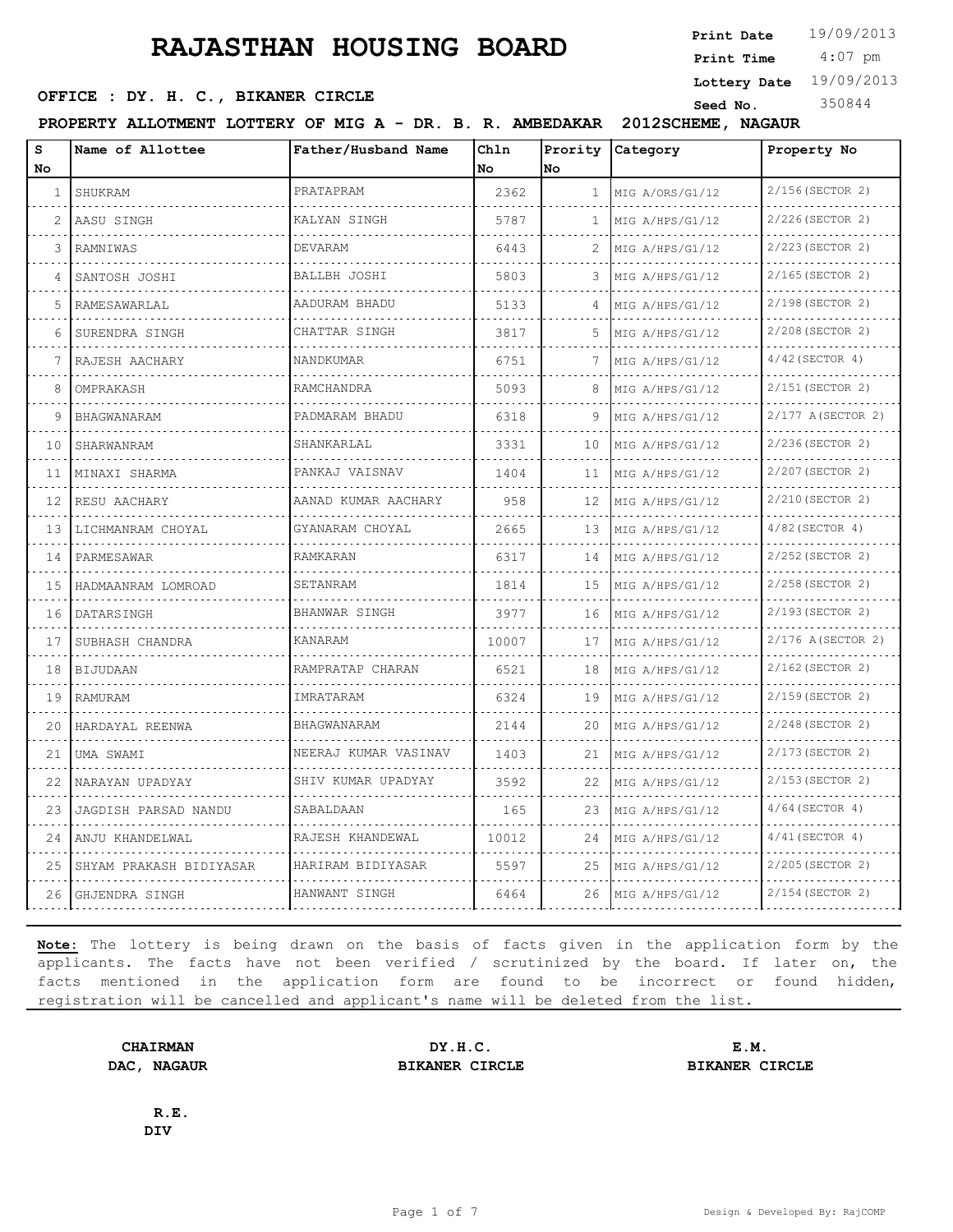**SEED OFFICE : DY. H. C., BIKANER CIRCLE Seed No.** 350844

**Print Date**  $19/09/2013$ 

 4:07 pm **Print Time**

**Lottery Date** 19/09/2013

**PROPERTY ALLOTMENT LOTTERY OF MIG A - DR. B. R. AMBEDAKAR 2012SCHEME, NAGAUR**

| s  | Name of Allottee        | Father/Husband Name  | Chln  |              | Prority Category | Property No       |
|----|-------------------------|----------------------|-------|--------------|------------------|-------------------|
| No |                         |                      | No    | No           |                  |                   |
| 1  | SHUKRAM                 | PRATAPRAM            | 2362  | $\mathbf{1}$ | MIG A/ORS/G1/12  | 2/156(SECTOR 2)   |
| 2  | AASU SINGH              | KALYAN SINGH         | 5787  | 1.           | MIG A/HPS/G1/12  | 2/226 (SECTOR 2)  |
| 3  | RAMNIWAS                | <b>DEVARAM</b>       | 6443  | 2            | MIG A/HPS/G1/12  | 2/223(SECTOR 2)   |
| 4  | SANTOSH JOSHI           | BALLBH JOSHI         | 5803  | 3            | MIG A/HPS/G1/12  | 2/165(SECTOR 2)   |
| 5  | RAMESAWARLAL            | AADURAM BHADU        | 5133  | 4            | MIG A/HPS/G1/12  | 2/198 (SECTOR 2)  |
| 6  | SURENDRA SINGH          | CHATTAR SINGH        | 3817  | 5            | MIG A/HPS/G1/12  | 2/208 (SECTOR 2)  |
|    | RAJESH AACHARY          | NANDKUMAR            | 6751  |              | MIG A/HPS/G1/12  | $4/42$ (SECTOR 4) |
| 8  | OMPRAKASH               | RAMCHANDRA           | 5093  | 8            | MIG A/HPS/G1/12  | 2/151 (SECTOR 2)  |
| 9  | <b>BHAGWANARAM</b>      | PADMARAM BHADU       | 6318  | 9            | MIG A/HPS/G1/12  | 2/177 A(SECTOR 2) |
| 10 | SHARWANRAM              | SHANKARLAL           | 3331  | 10           | MIG A/HPS/G1/12  | 2/236(SECTOR 2)   |
| 11 | MINAXI SHARMA           | PANKAJ VAISNAV       | 1404  | 11           | MIG A/HPS/G1/12  | 2/207 (SECTOR 2)  |
| 12 | RESU AACHARY            | AANAD KUMAR AACHARY  | 958   | 12           | MIG A/HPS/G1/12  | 2/210(SECTOR 2)   |
| 13 | LICHMANRAM CHOYAL       | GYANARAM CHOYAL      | 2665  | 13           | MIG A/HPS/G1/12  | $4/82$ (SECTOR 4) |
| 14 | PARMESAWAR              | RAMKARAN             | 6317  | 14           | MIG A/HPS/G1/12  | 2/252 (SECTOR 2)  |
| 15 | HADMAANRAM LOMROAD      | SETANRAM             | 1814  | 15           | MIG A/HPS/G1/12  | 2/258 (SECTOR 2)  |
| 16 | DATARSINGH              | BHANWAR SINGH        | 3977  | 16           | MIG A/HPS/G1/12  | 2/193 (SECTOR 2)  |
| 17 | SUBHASH CHANDRA         | <b>KANARAM</b>       | 10007 | 17           | MIG A/HPS/G1/12  | 2/176 A(SECTOR 2) |
| 18 | <b>BIJUDAAN</b>         | RAMPRATAP CHARAN     | 6521  | 18           | MIG A/HPS/G1/12  | 2/162(SECTOR 2)   |
| 19 | RAMURAM                 | IMRATARAM            | 6324  | 19           | MIG A/HPS/G1/12  | 2/159 (SECTOR 2)  |
| 20 | HARDAYAL REENWA         | BHAGWANARAM          | 2144  | 20           | MIG A/HPS/G1/12  | 2/248 (SECTOR 2)  |
| 21 | UMA SWAMI               | NEERAJ KUMAR VASINAV | 1403  | 21           | MIG A/HPS/G1/12  | 2/173(SECTOR 2)   |
| 22 | NARAYAN UPADYAY         | SHIV KUMAR UPADYAY   | 3592  | 22           | MIG A/HPS/G1/12  | 2/153 (SECTOR 2)  |
| 23 | JAGDISH PARSAD NANDU    | SABALDAAN            | 165   | 23           | MIG A/HPS/G1/12  | $4/64$ (SECTOR 4) |
| 24 | ANJU KHANDELWAL         | RAJESH KHANDEWAL     | 10012 | 24           | MIG A/HPS/G1/12  | $4/41$ (SECTOR 4) |
| 25 | SHYAM PRAKASH BIDIYASAR | HARIRAM BIDIYASAR    | 5597  | 25           | MIG A/HPS/G1/12  | 2/205(SECTOR 2)   |
| 26 | GHJENDRA SINGH          | HANWANT SINGH        | 6464  | 26           | MIG A/HPS/G1/12  | 2/154 (SECTOR 2)  |

**Note:** The lottery is being drawn on the basis of facts given in the application form by the applicants. The facts have not been verified / scrutinized by the board. If later on, the facts mentioned in the application form are found to be incorrect or found hidden, registration will be cancelled and applicant's name will be deleted from the list.

**CHAIRMAN DY.H.C. E.M. DAC, NAGAUR BIKANER CIRCLE BIKANER CIRCLE**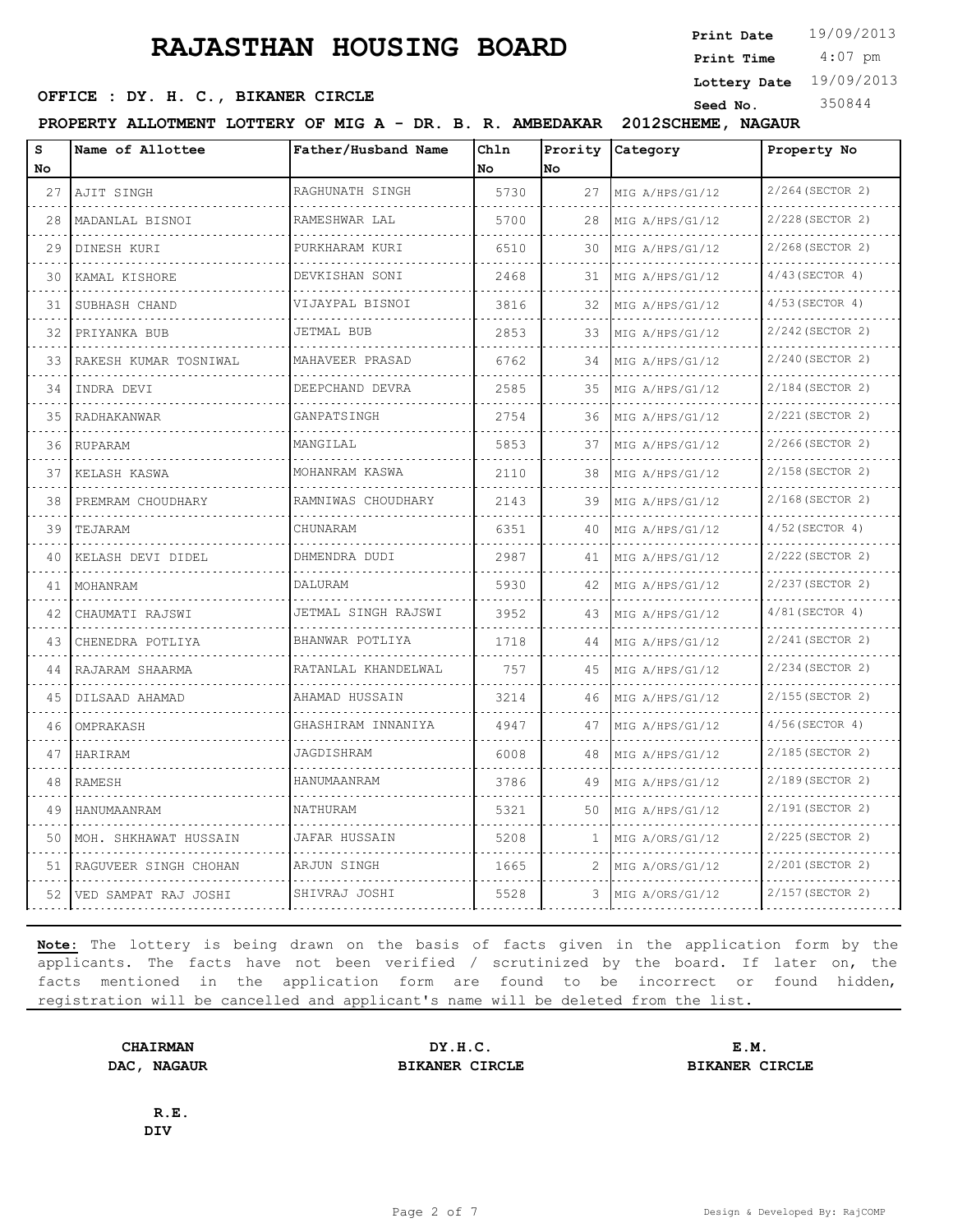**SEED OFFICE : DY. H. C., BIKANER CIRCLE Seed No.** 350844

 4:07 pm **Print Time**

**Lottery Date** 19/09/2013

**PROPERTY ALLOTMENT LOTTERY OF MIG A - DR. B. R. AMBEDAKAR 2012SCHEME, NAGAUR**

| S<br>No. | Name of Allottee       | Father/Husband Name | Chln<br>No. | Prority<br>No. | Category        | Property No           |
|----------|------------------------|---------------------|-------------|----------------|-----------------|-----------------------|
| 27       | AJIT SINGH             | RAGHUNATH SINGH     | 5730        | 27             | MIG A/HPS/G1/12 | 2/264 (SECTOR 2)<br>. |
| 28       | MADANLAL BISNOI        | RAMESHWAR LAL       | 5700        | 28             | MIG A/HPS/G1/12 | 2/228 (SECTOR 2)      |
| 29       | DINESH KURI            | PURKHARAM KURI      | 6510        | 30             | MIG A/HPS/G1/12 | 2/268 (SECTOR 2)      |
| 30       | KAMAL KISHORE          | DEVKISHAN SONI<br>. | 2468        | 31             | MIG A/HPS/G1/12 | $4/43$ (SECTOR 4)     |
| 31       | SUBHASH CHAND          | VIJAYPAL BISNOI     | 3816        | 32             | MIG A/HPS/G1/12 | $4/53$ (SECTOR 4)     |
| 32       | PRIYANKA BUB           | <b>JETMAL BUB</b>   | 2853        | 33             | MIG A/HPS/G1/12 | 2/242 (SECTOR 2)      |
| 33       | RAKESH KUMAR TOSNIWAL  | MAHAVEER PRASAD     | 6762        | 34             | MIG A/HPS/G1/12 | 2/240 (SECTOR 2)      |
| 34       | INDRA DEVI             | DEEPCHAND DEVRA     | 2585        | 35             | MIG A/HPS/G1/12 | 2/184 (SECTOR 2)      |
| 35       | RADHAKANWAR            | GANPATSINGH         | 2754        | 36             | MIG A/HPS/G1/12 | 2/221 (SECTOR 2)      |
| 36       | RUPARAM                | MANGILAL            | 5853        | 37             | MIG A/HPS/G1/12 | 2/266(SECTOR 2)       |
| 37       | KELASH KASWA           | MOHANRAM KASWA      | 2110        | 38             | MIG A/HPS/G1/12 | 2/158 (SECTOR 2)      |
| 38       | PREMRAM CHOUDHARY<br>. | RAMNIWAS CHOUDHARY  | 2143        | 39             | MIG A/HPS/G1/12 | 2/168 (SECTOR 2)      |
| 39       | TEJARAM                | CHUNARAM            | 6351        | 40             | MIG A/HPS/G1/12 | $4/52$ (SECTOR 4)     |
| 40       | KELASH DEVI DIDEL      | DHMENDRA DUDI       | 2987        | 41             | MIG A/HPS/G1/12 | 2/222 (SECTOR 2)      |
| 41       | MOHANRAM               | DALURAM             | 5930        | 42             | MIG A/HPS/G1/12 | 2/237 (SECTOR 2)      |
| 42       | CHAUMATI RAJSWI        | JETMAL SINGH RAJSWI | 3952        | 43             | MIG A/HPS/G1/12 | $4/81$ (SECTOR 4)     |
| 43       | CHENEDRA POTLIYA       | BHANWAR POTLIYA     | 1718        | 44             | MIG A/HPS/G1/12 | 2/241(SECTOR 2)       |
| 44       | RAJARAM SHAARMA        | RATANLAL KHANDELWAL | 757         | 45             | MIG A/HPS/G1/12 | 2/234 (SECTOR 2)      |
| 45       | DILSAAD AHAMAD         | AHAMAD HUSSAIN      | 3214        | 46             | MIG A/HPS/G1/12 | 2/155(SECTOR 2)       |
| 46       | OMPRAKASH              | GHASHIRAM INNANIYA  | 4947        | 47             | MIG A/HPS/G1/12 | $4/56$ (SECTOR 4)     |
| 47       | HARIRAM                | JAGDISHRAM          | 6008        | 48             | MIG A/HPS/G1/12 | 2/185(SECTOR 2)       |
| 48       | <b>RAMESH</b>          | HANUMAANRAM         | 3786        | 49             | MIG A/HPS/G1/12 | 2/189 (SECTOR 2)      |
| 49       | HANUMAANRAM            | NATHURAM            | 5321        | 50             | MIG A/HPS/G1/12 | 2/191 (SECTOR 2)      |
| 50       | MOH. SHKHAWAT HUSSAIN  | JAFAR HUSSAIN       | 5208        | 1              | MIG A/ORS/G1/12 | 2/225(SECTOR 2)       |
| 51       | RAGUVEER SINGH CHOHAN  | ARJUN SINGH         | 1665        | 2              | MIG A/ORS/G1/12 | 2/201 (SECTOR 2)      |
| 52       | VED SAMPAT RAJ JOSHI   | SHIVRAJ JOSHI       | 5528        | 3              | MIG A/ORS/G1/12 | 2/157(SECTOR 2)       |

**Note:** The lottery is being drawn on the basis of facts given in the application form by the applicants. The facts have not been verified / scrutinized by the board. If later on, the facts mentioned in the application form are found to be incorrect or found hidden, registration will be cancelled and applicant's name will be deleted from the list.

**CHAIRMAN DY.H.C. E.M. DAC, NAGAUR BIKANER CIRCLE BIKANER CIRCLE**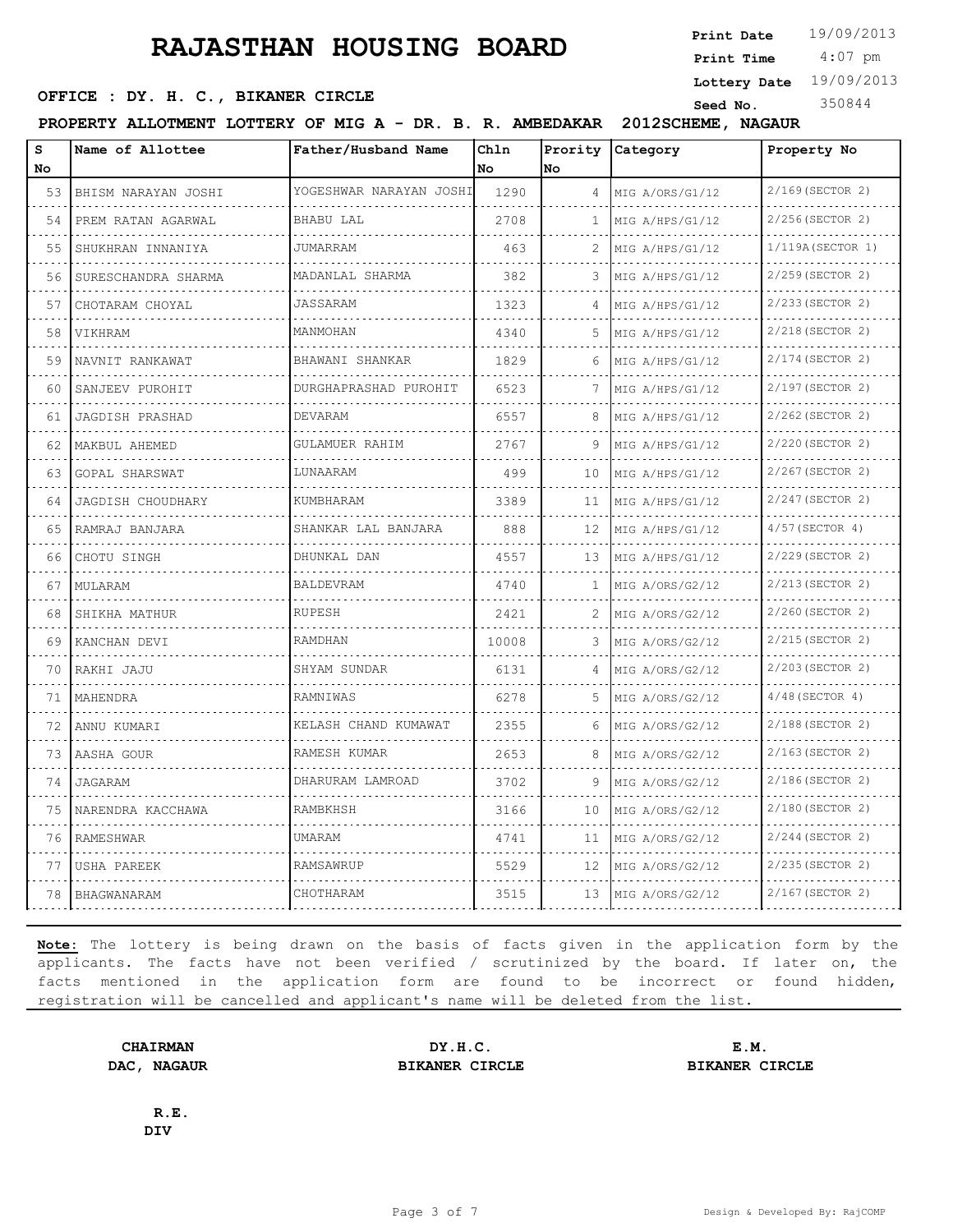**SEED OFFICE : DY. H. C., BIKANER CIRCLE Seed No.** 350844

| VIIICE . DI. II. C., DIRANER CIRCIE |  |  |  |  | Seed No.                                                                     |  |
|-------------------------------------|--|--|--|--|------------------------------------------------------------------------------|--|
|                                     |  |  |  |  | PROPERTY ALLOTMENT LOTTERY OF MIG A - DR. B. R. AMBEDAKAR 2012SCHEME, NAGAUR |  |

| S  | Name of Allottee         | Father/Husband Name      | Chln  | Prority | <b>Category</b>      | Property No            |
|----|--------------------------|--------------------------|-------|---------|----------------------|------------------------|
| No |                          |                          | No    | No      |                      |                        |
| 53 | BHISM NARAYAN JOSHI<br>. | YOGESHWAR NARAYAN JOSHI  | 1290  | 4       | MIG A/ORS/G1/12<br>. | 2/169 (SECTOR 2)       |
| 54 | PREM RATAN AGARWAL       | BHABU LAL                | 2708  | 1       | MIG A/HPS/G1/12      | 2/256(SECTOR 2)        |
| 55 | SHUKHRAN INNANIYA        | <b>JUMARRAM</b>          | 463   | 2       | MIG A/HPS/G1/12      | $1/119A$ (SECTOR 1)    |
| 56 | SURESCHANDRA SHARMA      | MADANLAL SHARMA          | 382   | 3       | MIG A/HPS/G1/12      | 2/259 (SECTOR 2)       |
| 57 | CHOTARAM CHOYAL          | JASSARAM                 | 1323  | 4       | MIG A/HPS/G1/12      | 2/233 (SECTOR 2)       |
| 58 | VIKHRAM                  | MANMOHAN                 | 4340  | 5.      | MIG A/HPS/G1/12      | 2/218 (SECTOR 2)       |
| 59 | NAVNIT RANKAWAT          | BHAWANI SHANKAR          | 1829  | 6       | MIG A/HPS/G1/12      | 2/174 (SECTOR 2)       |
| 60 | SANJEEV PUROHIT          | DURGHAPRASHAD PUROHIT    | 6523  | 7       | MIG A/HPS/G1/12      | 2/197 (SECTOR 2)       |
| 61 | JAGDISH PRASHAD          | DEVARAM                  | 6557  | 8       | MIG A/HPS/G1/12      | 2/262 (SECTOR 2)       |
| 62 | MAKBUL AHEMED            | <b>GULAMUER RAHIM</b>    | 2767  | 9       | MIG A/HPS/G1/12      | 2/220 (SECTOR 2)       |
| 63 | GOPAL SHARSWAT           | LUNAARAM                 | 499   | 10      | MIG A/HPS/G1/12      | 2/267 (SECTOR 2)       |
| 64 | <b>JAGDISH CHOUDHARY</b> | KUMBHARAM                | 3389  | 11      | MIG A/HPS/G1/12      | 2/247 (SECTOR 2)       |
| 65 | RAMRAJ BANJARA           | SHANKAR LAL BANJARA<br>. | 888   | 12      | MIG A/HPS/G1/12<br>. | 4/57(SECTOR 4)<br>.    |
| 66 | CHOTU SINGH              | DHUNKAL DAN              | 4557  | 13      | MIG A/HPS/G1/12      | 2/229 (SECTOR 2)       |
| 67 | MULARAM                  | BALDEVRAM                | 4740  | 1       | MIG A/ORS/G2/12      | 2/213 (SECTOR 2)       |
| 68 | SHIKHA MATHUR            | <b>RUPESH</b>            | 2421  | 2       | MIG A/ORS/G2/12<br>. | 2/260 (SECTOR 2)<br>.  |
| 69 | KANCHAN DEVI             | RAMDHAN                  | 10008 | 3       | MIG A/ORS/G2/12      | 2/215(SECTOR 2)        |
| 70 | RAKHI JAJU               | SHYAM SUNDAR             | 6131  | 4       | MIG A/ORS/G2/12      | 2/203 (SECTOR 2)       |
| 71 | MAHENDRA                 | RAMNIWAS                 | 6278  | 5.      | MIG A/ORS/G2/12<br>. | $4/48$ (SECTOR 4)<br>. |
| 72 | ANNU KUMARI              | KELASH CHAND KUMAWAT     | 2355  | 6       | MIG A/ORS/G2/12      | 2/188(SECTOR 2)        |
| 73 | AASHA GOUR               | RAMESH KUMAR             | 2653  | 8       | MIG A/ORS/G2/12      | 2/163 (SECTOR 2)       |
| 74 | JAGARAM                  | DHARURAM LAMROAD         | 3702  | 9       | MIG A/ORS/G2/12      | 2/186(SECTOR 2)<br>.   |
| 75 | NARENDRA KACCHAWA        | RAMBKHSH                 | 3166  | 10      | MIG A/ORS/G2/12      | 2/180 (SECTOR 2)       |
| 76 | RAMESHWAR                | UMARAM                   | 4741  | 11      | MIG A/ORS/G2/12      | 2/244 (SECTOR 2)       |
| 77 | USHA PAREEK              | RAMSAWRUP                | 5529  | 12      | MIG A/ORS/G2/12      | 2/235 (SECTOR 2)       |
| 78 | BHAGWANARAM              | CHOTHARAM                | 3515  | 13      | MIG A/ORS/G2/12      | 2/167 (SECTOR 2)       |

**Note:** The lottery is being drawn on the basis of facts given in the application form by the applicants. The facts have not been verified / scrutinized by the board. If later on, the facts mentioned in the application form are found to be incorrect or found hidden, registration will be cancelled and applicant's name will be deleted from the list.

**R.E.**

**DIV**

**DAC, NAGAUR BIKANER CIRCLE BIKANER CIRCLE**

**CHAIRMAN DY.H.C. E.M.**

**Lottery Date** 19/09/2013

4:07 pm **Print Time**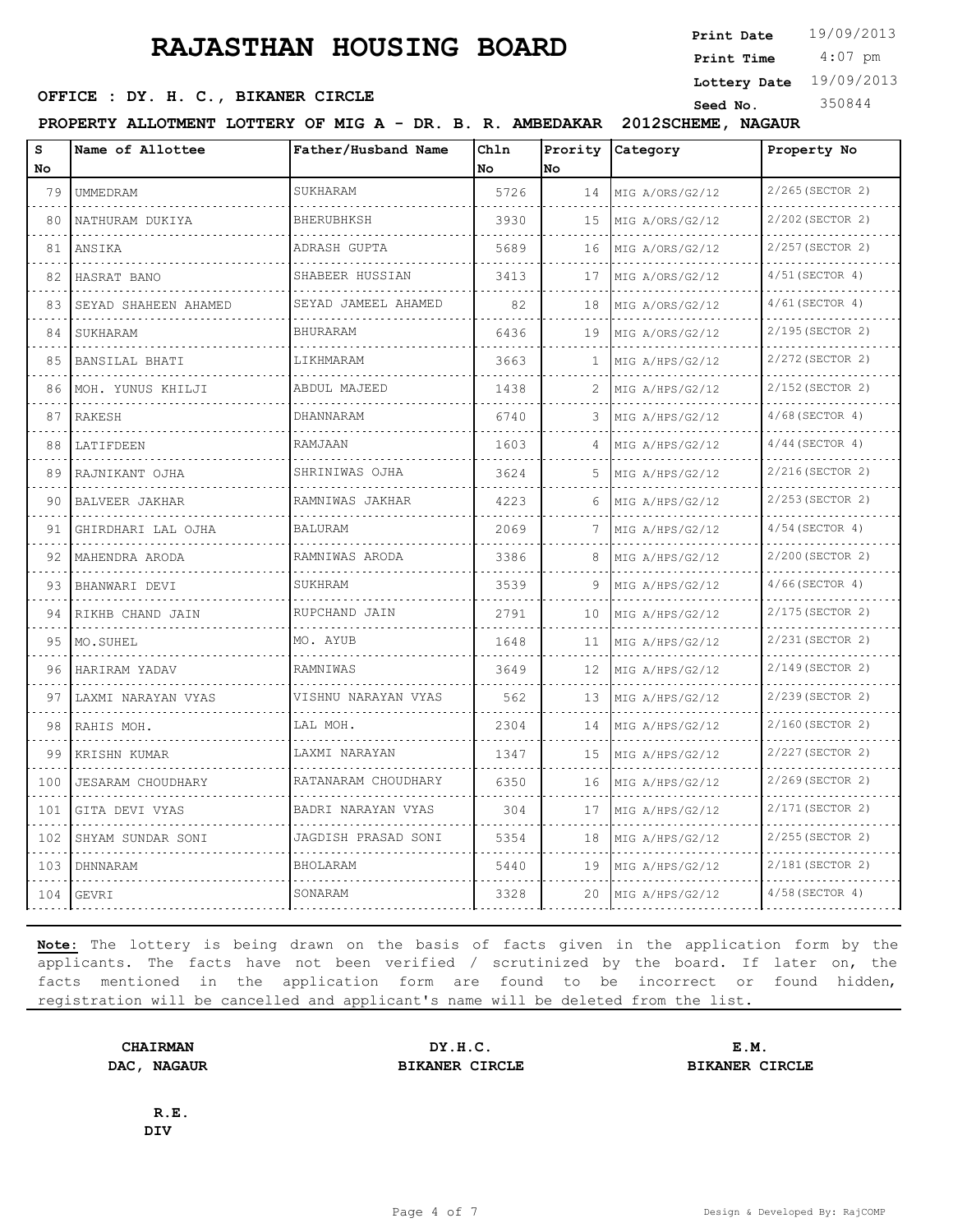**Print Date**  $19/09/2013$ 

 4:07 pm **Print Time**

**Lottery Date** 19/09/2013

**SEED OFFICE : DY. H. C., BIKANER CIRCLE Seed No.** 350844

**PROPERTY ALLOTMENT LOTTERY OF MIG A - DR. B. R. AMBEDAKAR 2012SCHEME, NAGAUR**

| S<br>No.        | Name of Allottee          | Father/Husband Name      | Chln<br>No. | <b>No</b> | Prority Category     | Property No            |
|-----------------|---------------------------|--------------------------|-------------|-----------|----------------------|------------------------|
| 79              | UMMEDRAM<br>.             | SUKHARAM                 | 5726        | 14        | MIG A/ORS/G2/12      | 2/265(SECTOR 2)<br>.   |
| $- - - -$<br>80 | NATHURAM DUKIYA           | <b>BHERUBHKSH</b>        | 3930        | 15        | MIG A/ORS/G2/12      | 2/202 (SECTOR 2)       |
| 81              | ANSIKA                    | ADRASH GUPTA             | 5689        | 16        | MIG A/ORS/G2/12      | 2/257 (SECTOR 2)       |
| 82              | HASRAT BANO               | SHABEER HUSSIAN<br>.     | 3413        | 17        | MIG A/ORS/G2/12<br>. | $4/51$ (SECTOR 4)      |
| 83              | .<br>SEYAD SHAHEEN AHAMED | SEYAD JAMEEL AHAMED      | 82          | 18        | MIG A/ORS/G2/12      | $4/61$ (SECTOR 4)      |
| 84              | SUKHARAM                  | <b>BHURARAM</b>          | 6436        | 19        | MIG A/ORS/G2/12      | 2/195(SECTOR 2)        |
| 85              | BANSILAL BHATI            | LIKHMARAM                | 3663        | 1.        | MIG A/HPS/G2/12      | 2/272 (SECTOR 2)       |
| 86              | MOH. YUNUS KHILJI         | ABDUL MAJEED             | 1438        | 2         | MIG A/HPS/G2/12      | 2/152 (SECTOR 2)       |
| 87              | RAKESH                    | DHANNARAM                | 6740        | 3         | MIG A/HPS/G2/12      | $4/68$ (SECTOR 4)      |
| 88              | LATIFDEEN                 | RAMJAAN                  | 1603        | 4         | MIG A/HPS/G2/12      | $4/44$ (SECTOR 4)      |
| 89              | RAJNIKANT OJHA            | SHRINIWAS OJHA           | 3624        | 5.        | .<br>MIG A/HPS/G2/12 | 2/216(SECTOR 2)        |
| 90              | BALVEER JAKHAR            | .<br>RAMNIWAS JAKHAR     | 4223        | 6         | MIG A/HPS/G2/12      | 2/253 (SECTOR 2)       |
| 91              | GHIRDHARI LAL OJHA        | <b>BALURAM</b><br>.      | 2069        | 7         | MIG A/HPS/G2/12      | $4/54$ (SECTOR 4)<br>. |
| 92              | MAHENDRA ARODA            | RAMNIWAS ARODA           | 3386        | 8         | .<br>MIG A/HPS/G2/12 | 2/200 (SECTOR 2)       |
| 93              | BHANWARI DEVI             | SUKHRAM                  | 3539        | 9         | MIG A/HPS/G2/12      | $4/66$ (SECTOR 4)      |
| 94              | RIKHB CHAND JAIN          | RUPCHAND JAIN            | 2791        | 10        | MIG A/HPS/G2/12      | 2/175(SECTOR 2)<br>.   |
| 95              | MO.SUHEL                  | .<br>MO. AYUB            | 1648        | 11        | .<br>MIG A/HPS/G2/12 | 2/231 (SECTOR 2)       |
| 96              | HARIRAM YADAV             | RAMNIWAS                 | 3649        | 12        | MIG A/HPS/G2/12      | 2/149(SECTOR 2)        |
| 97              | LAXMI NARAYAN VYAS        | VISHNU NARAYAN VYAS      | 562         | 1.3       | MIG A/HPS/G2/12      | 2/239 (SECTOR 2)<br>.  |
| 98              | RAHIS MOH.                | LAL MOH.                 | 2304        | 14        | MIG A/HPS/G2/12      | 2/160 (SECTOR 2)       |
| 99              | KRISHN KUMAR              | LAXMI NARAYAN            | 1347        | 15        | .<br>MIG A/HPS/G2/12 | 2/227(SECTOR 2)        |
| 100             | <b>JESARAM CHOUDHARY</b>  | RATANARAM CHOUDHARY      | 6350        | 16        | MIG A/HPS/G2/12      | 2/269(SECTOR 2)        |
| 101             | GITA DEVI VYAS            | BADRI NARAYAN VYAS       | 304         | 17        | MIG A/HPS/G2/12      | 2/171 (SECTOR 2)       |
| 102             | .<br>SHYAM SUNDAR SONI    | .<br>JAGDISH PRASAD SONI | 5354        | 18        | MIG A/HPS/G2/12      | 2/255 (SECTOR 2)       |
| 103             | DHNNARAM                  | <b>BHOLARAM</b>          | 5440        | 19        | MIG A/HPS/G2/12      | 2/181(SECTOR 2)        |
| 104             | GEVRI                     | SONARAM                  | 3328        | 20        | MIG A/HPS/G2/12      | $4/58$ (SECTOR 4)      |

**Note:** The lottery is being drawn on the basis of facts given in the application form by the applicants. The facts have not been verified / scrutinized by the board. If later on, the facts mentioned in the application form are found to be incorrect or found hidden, registration will be cancelled and applicant's name will be deleted from the list.

**CHAIRMAN DY.H.C. E.M. DAC, NAGAUR BIKANER CIRCLE BIKANER CIRCLE**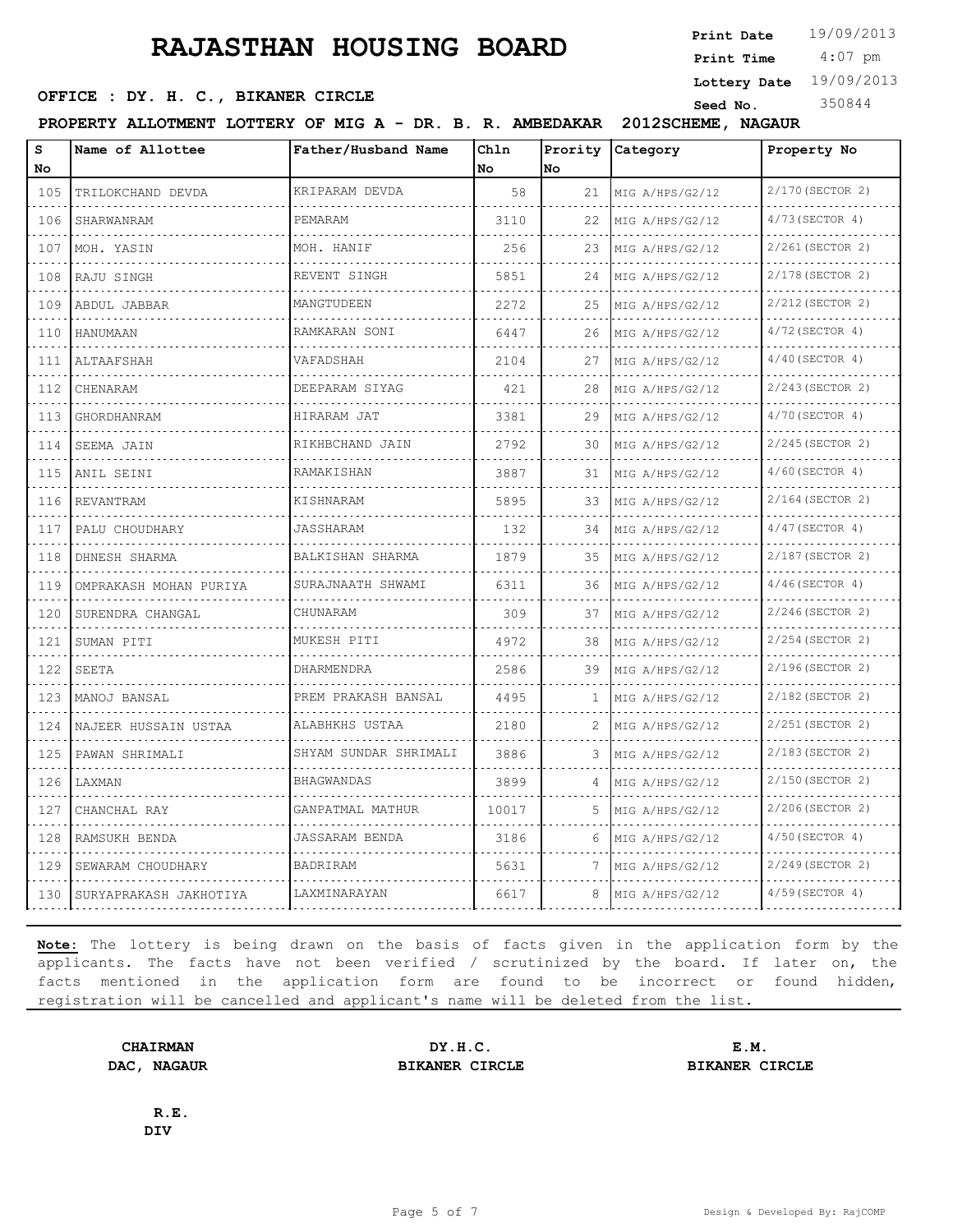**SEED OFFICE : DY. H. C., BIKANER CIRCLE Seed No.** 350844

**Print Date**  $19/09/2013$ 

 4:07 pm **Print Time**

**Lottery Date** 19/09/2013

**PROPERTY ALLOTMENT LOTTERY OF MIG A - DR. B. R. AMBEDAKAR 2012SCHEME, NAGAUR**

| s   | Name of Allottee       | Father/Husband Name   | Chln  | Prority | Category        | Property No       |
|-----|------------------------|-----------------------|-------|---------|-----------------|-------------------|
| No  |                        |                       | No.   | lNo.    |                 |                   |
| 105 | TRILOKCHAND DEVDA      | KRIPARAM DEVDA        | 58    | 21      | MIG A/HPS/G2/12 | 2/170 (SECTOR 2)  |
| 106 | SHARWANRAM             | PEMARAM               | 3110  | 22      | MIG A/HPS/G2/12 | 4/73 (SECTOR 4)   |
| 107 | MOH. YASIN             | MOH. HANIF            | 256   | 23      | MIG A/HPS/G2/12 | 2/261 (SECTOR 2)  |
| 108 | RAJU SINGH             | REVENT SINGH          | 5851  | 24      | MIG A/HPS/G2/12 | 2/178 (SECTOR 2)  |
| 109 | ABDUL JABBAR           | MANGTUDEEN            | 2272  | 25      | MIG A/HPS/G2/12 | 2/212 (SECTOR 2)  |
| 110 | HANUMAAN               | RAMKARAN SONI         | 6447  | 26      | MIG A/HPS/G2/12 | 4/72 (SECTOR 4)   |
| 111 | ALTAAFSHAH             | VAFADSHAH             | 2104  | 27      | MIG A/HPS/G2/12 | $4/40$ (SECTOR 4) |
| 112 | CHENARAM               | DEEPARAM SIYAG        | 421   | 28      | MIG A/HPS/G2/12 | 2/243 (SECTOR 2)  |
| 113 | GHORDHANRAM            | HIRARAM JAT           | 3381  | 29      | MIG A/HPS/G2/12 | 4/70 (SECTOR 4)   |
| 114 | SEEMA JAIN             | RIKHBCHAND JAIN       | 2792  | 30      | MIG A/HPS/G2/12 | 2/245 (SECTOR 2)  |
| 115 | ANIL SEINI             | RAMAKISHAN            | 3887  | 31      | MIG A/HPS/G2/12 | $4/60$ (SECTOR 4) |
| 116 | REVANTRAM              | KISHNARAM             | 5895  | 33      | MIG A/HPS/G2/12 | 2/164 (SECTOR 2)  |
| 117 | PALU CHOUDHARY         | JASSHARAM             | 132   | 34      | MIG A/HPS/G2/12 | $4/47$ (SECTOR 4) |
| 118 | DHNESH SHARMA          | BALKISHAN SHARMA      | 1879  | 35      | MIG A/HPS/G2/12 | 2/187 (SECTOR 2)  |
| 119 | OMPRAKASH MOHAN PURIYA | SURAJNAATH SHWAMI     | 6311  | 36      | MIG A/HPS/G2/12 | $4/46$ (SECTOR 4) |
| 120 | SURENDRA CHANGAL       | CHUNARAM              | 309   | 37      | MIG A/HPS/G2/12 | 2/246(SECTOR 2)   |
| 121 | SUMAN PITI             | MUKESH PITI           | 4972  | 38      | MIG A/HPS/G2/12 | 2/254 (SECTOR 2)  |
| 122 | SEETA                  | DHARMENDRA            | 2586  | 39      | MIG A/HPS/G2/12 | 2/196(SECTOR 2)   |
| 123 | MANOJ BANSAL           | PREM PRAKASH BANSAL   | 4495  | 1       | MIG A/HPS/G2/12 | 2/182(SECTOR 2)   |
| 124 | NAJEER HUSSAIN USTAA   | ALABHKHS USTAA        | 2180  | 2       | MIG A/HPS/G2/12 | 2/251 (SECTOR 2)  |
| 125 | PAWAN SHRIMALI         | SHYAM SUNDAR SHRIMALI | 3886  | 3       | MIG A/HPS/G2/12 | 2/183(SECTOR 2)   |
| 126 | LAXMAN                 | BHAGWANDAS            | 3899  | 4       | MIG A/HPS/G2/12 | 2/150 (SECTOR 2)  |
| 127 | CHANCHAL RAY           | GANPATMAL MATHUR      | 10017 | 5       | MIG A/HPS/G2/12 | 2/206(SECTOR 2)   |
| 128 | RAMSUKH BENDA          | JASSARAM BENDA        | 3186  | 6       | MIG A/HPS/G2/12 | $4/50$ (SECTOR 4) |
| 129 | SEWARAM CHOUDHARY      | BADRIRAM              | 5631  |         | MIG A/HPS/G2/12 | 2/249(SECTOR 2)   |
| 130 | SURYAPRAKASH JAKHOTIYA | LAXMINARAYAN          | 6617  | 8       | MIG A/HPS/G2/12 | $4/59$ (SECTOR 4) |

**Note:** The lottery is being drawn on the basis of facts given in the application form by the applicants. The facts have not been verified / scrutinized by the board. If later on, the facts mentioned in the application form are found to be incorrect or found hidden, registration will be cancelled and applicant's name will be deleted from the list.

**CHAIRMAN DY.H.C. E.M. DAC, NAGAUR BIKANER CIRCLE BIKANER CIRCLE**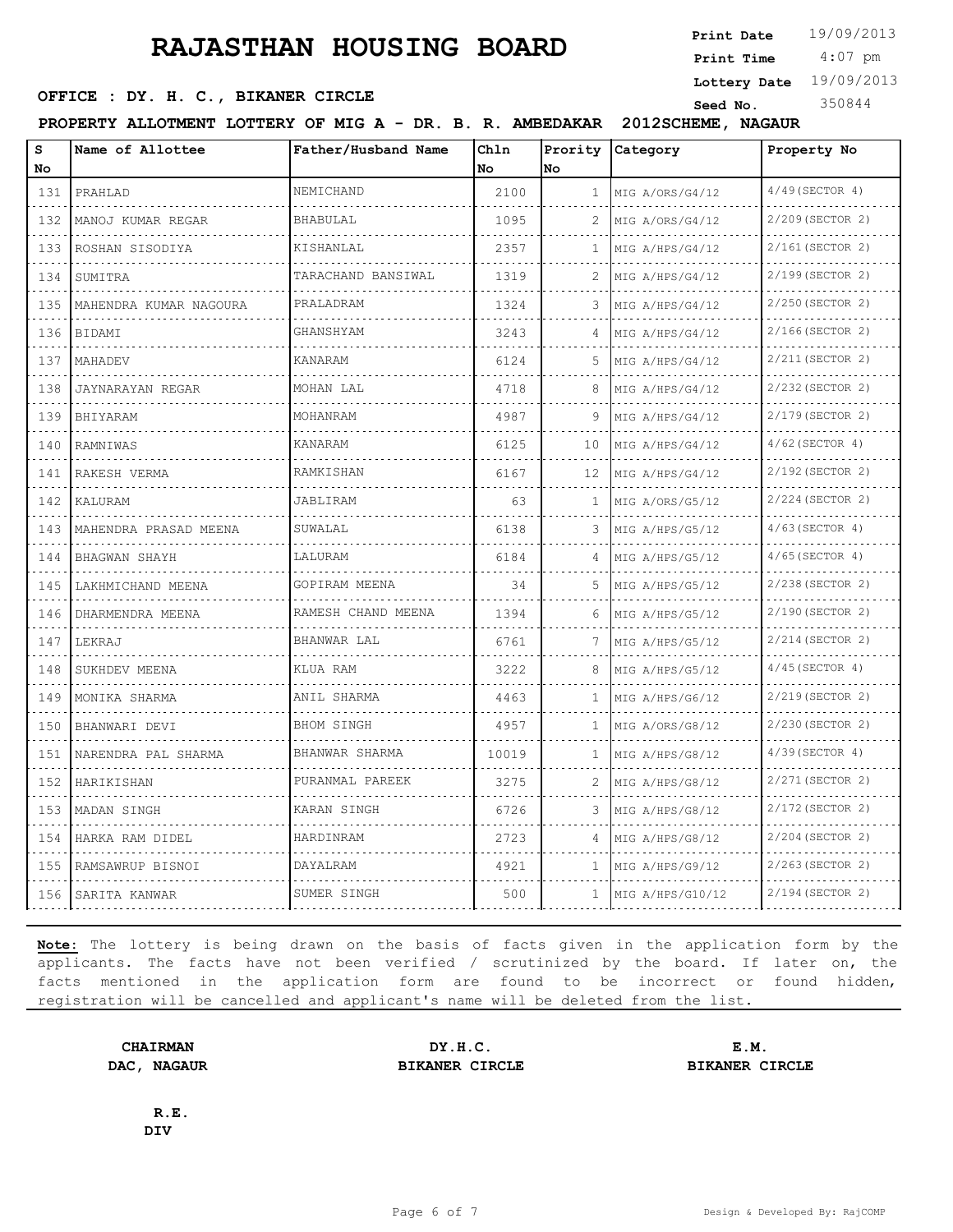**SEED OFFICE : DY. H. C., BIKANER CIRCLE Seed No.** 350844

**Print Date**  $19/09/2013$ 

 4:07 pm **Print Time**

**Lottery Date** 19/09/2013

**PROPERTY ALLOTMENT LOTTERY OF MIG A - DR. B. R. AMBEDAKAR 2012SCHEME, NAGAUR**

| S                                  | Name of Allottee       | Father/Husband Name  | Chln  |              | Prority Category | Property No       |
|------------------------------------|------------------------|----------------------|-------|--------------|------------------|-------------------|
| No                                 |                        |                      | No    | No           |                  |                   |
| 131                                | PRAHLAD                | NEMICHAND            | 2100  | 1            | MIG A/ORS/G4/12  | $4/49$ (SECTOR 4) |
| 132                                | MANOJ KUMAR REGAR      | <b>BHABULAL</b>      | 1095  | 2            | MIG A/ORS/G4/12  | 2/209 (SECTOR 2)  |
| 133                                | ROSHAN SISODIYA        | KISHANLAL            | 2357  | 1            | MIG A/HPS/G4/12  | 2/161(SECTOR 2)   |
| $\sim$ $\sim$ $\sim$ $\sim$<br>134 | SUMITRA                | TARACHAND BANSIWAL   | 1319  | 2            | MIG A/HPS/G4/12  | 2/199(SECTOR 2)   |
| 135                                | MAHENDRA KUMAR NAGOURA | PRALADRAM            | 1324  | 3            | MIG A/HPS/G4/12  | 2/250 (SECTOR 2)  |
| .<br>136<br>.                      | BIDAMI                 | GHANSHYAM            | 3243  | 4            | MIG A/HPS/G4/12  | 2/166(SECTOR 2)   |
| 137                                | MAHADEV                | KANARAM              | 6124  | 5            | MIG A/HPS/G4/12  | 2/211 (SECTOR 2)  |
| 138                                | JAYNARAYAN REGAR       | MOHAN LAL            | 4718  | 8            | MIG A/HPS/G4/12  | 2/232 (SECTOR 2)  |
| 139<br>.                           | BHIYARAM               | MOHANRAM             | 4987  | 9            | MIG A/HPS/G4/12  | 2/179 (SECTOR 2)  |
| 140                                | RAMNIWAS               | <b>KANARAM</b>       | 6125  | 10           | MIG A/HPS/G4/12  | $4/62$ (SECTOR 4) |
| 141                                | RAKESH VERMA           | RAMKISHAN            | 6167  | 12           | MIG A/HPS/G4/12  | 2/192 (SECTOR 2)  |
| 142                                | KALURAM                | JABLIRAM             | 63    | 1            | MIG A/ORS/G5/12  | 2/224 (SECTOR 2)  |
| 143                                | MAHENDRA PRASAD MEENA  | SUWALAL              | 6138  | 3            | MIG A/HPS/G5/12  | $4/63$ (SECTOR 4) |
| .<br>144                           | BHAGWAN SHAYH          | LALURAM              | 6184  | 4            | MIG A/HPS/G5/12  | $4/65$ (SECTOR 4) |
| 145                                | LAKHMICHAND MEENA      | GOPIRAM MEENA        | 34    | 5.           | MIG A/HPS/G5/12  | 2/238 (SECTOR 2)  |
| 146<br>.                           | DHARMENDRA MEENA       | RAMESH CHAND MEENA   | 1394  | 6            | MIG A/HPS/G5/12  | 2/190 (SECTOR 2)  |
| 147<br>.                           | LEKRAJ                 | BHANWAR LAL          | 6761  | 7            | MIG A/HPS/G5/12  | 2/214 (SECTOR 2)  |
| 148                                | SUKHDEV MEENA          | KLUA RAM             | 3222  | 8            | MIG A/HPS/G5/12  | $4/45$ (SECTOR 4) |
| 149<br>.                           | MONIKA SHARMA          | ANIL SHARMA          | 4463  | 1            | MIG A/HPS/G6/12  | 2/219 (SECTOR 2)  |
| 150                                | BHANWARI DEVI          | <b>BHOM SINGH</b>    | 4957  | $\mathbf{1}$ | MIG A/ORS/G8/12  | 2/230 (SECTOR 2)  |
| 151                                | NARENDRA PAL SHARMA    | BHANWAR SHARMA       | 10019 | 1            | MIG A/HPS/G8/12  | 4/39 (SECTOR 4)   |
| 152<br>.                           | HARIKISHAN             | PURANMAL PAREEK<br>. | 3275  | 2            | MIG A/HPS/G8/12  | 2/271 (SECTOR 2)  |
| 153                                | MADAN SINGH            | KARAN SINGH          | 6726  | 3            | MIG A/HPS/G8/12  | 2/172 (SECTOR 2)  |
| 154                                | HARKA RAM DIDEL        | HARDINRAM            | 2723  | 4            | MIG A/HPS/G8/12  | 2/204 (SECTOR 2)  |
| 155                                | RAMSAWRUP BISNOI       | DAYALRAM             | 4921  | Τ.           | MIG A/HPS/G9/12  | 2/263 (SECTOR 2)  |
| 156                                | SARITA KANWAR          | SUMER SINGH          | 500   | 1            | MIG A/HPS/G10/12 | 2/194 (SECTOR 2)  |

**Note:** The lottery is being drawn on the basis of facts given in the application form by the applicants. The facts have not been verified / scrutinized by the board. If later on, the facts mentioned in the application form are found to be incorrect or found hidden, registration will be cancelled and applicant's name will be deleted from the list.

**CHAIRMAN DY.H.C. E.M. DAC, NAGAUR BIKANER CIRCLE BIKANER CIRCLE**